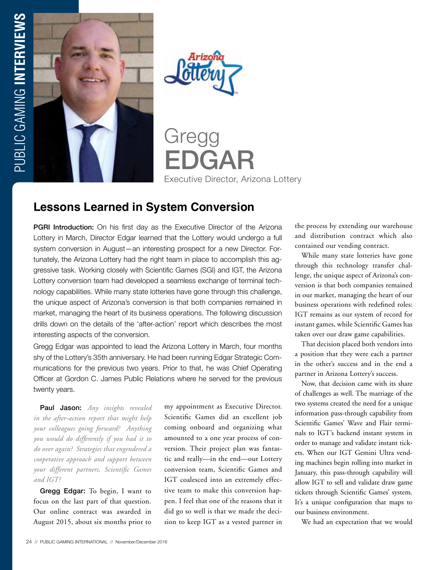



Gregg EDGAR Executive Director, Arizona Lottery

## **Lessons Learned in System Conversion**

**PGRI Introduction:** On his first day as the Executive Director of the Arizona Lottery in March, Director Edgar learned that the Lottery would undergo a full system conversion in August—an interesting prospect for a new Director. Fortunately, the Arizona Lottery had the right team in place to accomplish this aggressive task. Working closely with Scientific Games (SGI) and IGT, the Arizona Lottery conversion team had developed a seamless exchange of terminal technology capabilities. While many state lotteries have gone through this challenge, the unique aspect of Arizona's conversion is that both companies remained in market, managing the heart of its business operations. The following discussion drills down on the details of the 'after-action' report which describes the most interesting aspects of the conversion.

Gregg Edgar was appointed to lead the Arizona Lottery in March, four months shy of the Lottery's 35th anniversary. He had been running Edgar Strategic Communications for the previous two years. Prior to that, he was Chief Operating Officer at Gordon C. James Public Relations where he served for the previous twenty years.

Paul Jason: *Any insights revealed in the after-action report that might help your colleagues going forward? Anything you would do differently if you had it to do over again? Strategies that engendered a cooperative approach and support between your different partners, Scientific Games and IGT?*

Gregg Edgar: To begin, I want to focus on the last part of that question. Our online contract was awarded in August 2015, about six months prior to my appointment as Executive Director. Scientific Games did an excellent job coming onboard and organizing what amounted to a one year process of conversion. Their project plan was fantastic and really—in the end—our Lottery conversion team, Scientific Games and IGT coalesced into an extremely effective team to make this conversion happen. I feel that one of the reasons that it did go so well is that we made the decision to keep IGT as a vested partner in

the process by extending our warehouse and distribution contract which also contained our vending contract.

While many state lotteries have gone through this technology transfer challenge, the unique aspect of Arizona's conversion is that both companies remained in our market, managing the heart of our business operations with redefined roles: IGT remains as our system of record for instant games, while Scientific Games has taken over our draw game capabilities.

That decision placed both vendors into a position that they were each a partner in the other's success and in the end a partner in Arizona Lottery's success.

Now, that decision came with its share of challenges as well. The marriage of the two systems created the need for a unique information pass-through capability from Scientific Games' Wave and Flair terminals to IGT's backend instant system in order to manage and validate instant tickets. When our IGT Gemini Ultra vending machines begin rolling into market in January, this pass-through capability will allow IGT to sell and validate draw game tickets through Scientific Games' system. It's a unique configuration that maps to our business environment.

We had an expectation that we would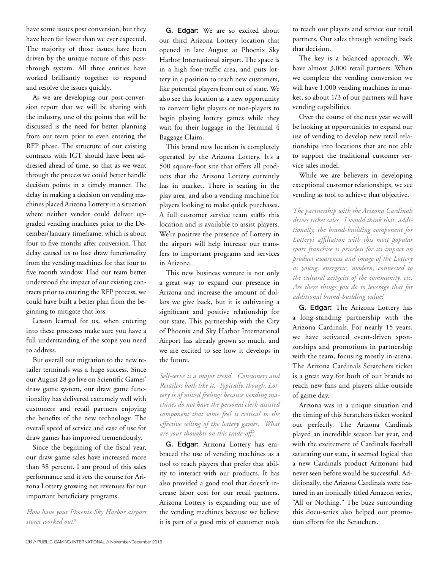have some issues post conversion, but they have been far fewer than we ever expected. The majority of those issues have been driven by the unique nature of this passthrough system. All three entities have worked brilliantly together to respond and resolve the issues quickly.

As we are developing our post-conversion report that we will be sharing with the industry, one of the points that will be discussed is the need for better planning from our team prior to even entering the RFP phase. The structure of our existing contracts with IGT should have been addressed ahead of time, so that as we went through the process we could better handle decision points in a timely manner. The delay in making a decision on vending machines placed Arizona Lottery in a situation where neither vendor could deliver upgraded vending machines prior to the December/January timeframe, which is about four to five months after conversion. That delay caused us to lose draw functionality from the vending machines for that four to five month window. Had our team better understood the impact of our existing contracts prior to entering the RFP process, we could have built a better plan from the beginning to mitigate that loss.

Lesson learned for us, when entering into these processes make sure you have a full understanding of the scope you need to address.

But overall our migration to the new retailer terminals was a huge success. Since our August 28 go live on Scientific Games' draw game system, our draw game functionality has delivered extremely well with customers and retail partners enjoying the benefits of the new technology. The overall speed of service and ease of use for draw games has improved tremendously.

Since the beginning of the fiscal year, our draw game sales have increased more than 38 percent. I am proud of this sales performance and it sets the course for Arizona Lottery growing net revenues for our important beneficiary programs.

*How have your Phoenix Sky Harbor airport stores worked out?*

G. Edgar: We are so excited about our third Arizona Lottery location that opened in late August at Phoenix Sky Harbor International airport. The space is in a high foot-traffic area, and puts lottery in a position to reach new customers, like potential players from out of state. We also see this location as a new opportunity to convert light players or non-players to begin playing lottery games while they wait for their luggage in the Terminal 4 Baggage Claim.

This brand new location is completely operated by the Arizona Lottery. It's a 500 square-foot site that offers all products that the Arizona Lottery currently has in market. There is seating in the play area, and also a vending machine for players looking to make quick purchases. A full customer service team staffs this location and is available to assist players. We're positive the presence of Lottery in the airport will help increase our transfers to important programs and services in Arizona.

This new business venture is not only a great way to expand our presence in Arizona and increase the amount of dollars we give back, but it is cultivating a significant and positive relationship for our state. This partnership with the City of Phoenix and Sky Harbor International Airport has already grown so much, and we are excited to see how it develops in the future.

*Self-serve is a major trend. Consumers and Retailers both like it. Typically, though, Lottery is of mixed feelings because vending machines do not have the personal clerk-assisted component that some feel is critical to the effective selling of the lottery games. What are your thoughts on this trade-off?*

G. Edgar: Arizona Lottery has embraced the use of vending machines as a tool to reach players that prefer that ability to interact with our products. It has also provided a good tool that doesn't increase labor cost for our retail partners. Arizona Lottery is expanding our use of the vending machines because we believe it is part of a good mix of customer tools to reach our players and service our retail partners. Our sales through vending back that decision.

The key is a balanced approach. We have almost 3,000 retail partners. When we complete the vending conversion we will have 1,000 vending machines in market, so about 1/3 of our partners will have vending capabilities.

Over the course of the next year we will be looking at opportunities to expand our use of vending to develop new retail relationships into locations that are not able to support the traditional customer service sales model.

While we are believers in developing exceptional customer relationships, we see vending as tool to achieve that objective.

*The partnership with the Arizona Cardinals drives ticket sales. I would think that, additionally, the brand-building component for Lottery's affiliation with this most popular sport franchise is priceless for its impact on product awareness and image of the Lottery as young, energetic, modern, connected to the cultural zeitgeist of the community, etc. Are there things you do to leverage that for additional brand-building value?*

G. Edgar: The Arizona Lottery has a long-standing partnership with the Arizona Cardinals. For nearly 15 years, we have activated event-driven sponsorships and promotions in partnership with the team, focusing mostly in-arena. The Arizona Cardinals Scratchers ticket is a great way for both of our brands to reach new fans and players alike outside of game day.

Arizona was in a unique situation and the timing of this Scratchers ticket worked out perfectly. The Arizona Cardinals played an incredible season last year, and with the excitement of Cardinals football saturating our state, it seemed logical that a new Cardinals product Arizonans had never seen before would be successful. Additionally, the Arizona Cardinals were featured in an ironically titled Amazon series, "All or Nothing." The buzz surrounding this docu-series also helped our promotion efforts for the Scratchers.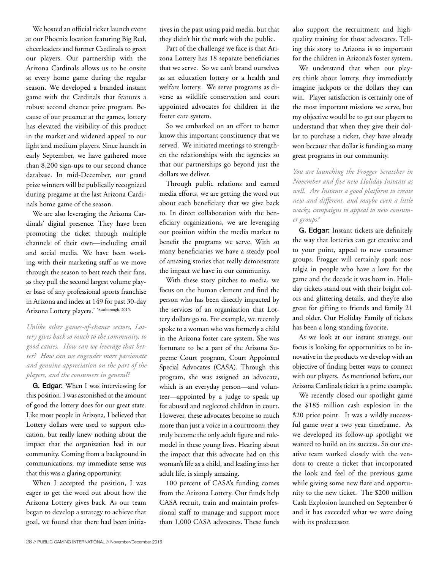We hosted an official ticket launch event at our Phoenix location featuring Big Red, cheerleaders and former Cardinals to greet our players. Our partnership with the Arizona Cardinals allows us to be onsite at every home game during the regular season. We developed a branded instant game with the Cardinals that features a robust second chance prize program. Because of our presence at the games, lottery has elevated the visibility of this product in the market and widened appeal to our light and medium players. Since launch in early September, we have gathered more than 8,200 sign-ups to our second chance database. In mid-December, our grand prize winners will be publically recognized during pregame at the last Arizona Cardinals home game of the season.

We are also leveraging the Arizona Cardinals' digital presence. They have been promoting the ticket through multiple channels of their own—including email and social media. We have been working with their marketing staff as we move through the season to best reach their fans, as they pull the second largest volume player base of any professional sports franchise in Arizona and index at 149 for past 30-day Arizona Lottery players.\* \*Scarborough, 2015.

*Unlike other games-of-chance sectors, Lottery gives back so much to the community, to good causes. How can we leverage that better? How can we engender more passionate and genuine appreciation on the part of the players, and the consumers in general?*

G. Edgar: When I was interviewing for this position, I was astonished at the amount of good the lottery does for our great state. Like most people in Arizona, I believed that Lottery dollars were used to support education, but really knew nothing about the impact that the organization had in our community. Coming from a background in communications, my immediate sense was that this was a glaring opportunity.

When I accepted the position, I was eager to get the word out about how the Arizona Lottery gives back. As our team began to develop a strategy to achieve that goal, we found that there had been initiatives in the past using paid media, but that they didn't hit the mark with the public.

Part of the challenge we face is that Arizona Lottery has 18 separate beneficiaries that we serve. So we can't brand ourselves as an education lottery or a health and welfare lottery. We serve programs as diverse as wildlife conservation and court appointed advocates for children in the foster care system.

So we embarked on an effort to better know this important constituency that we served. We initiated meetings to strengthen the relationships with the agencies so that our partnerships go beyond just the dollars we deliver.

Through public relations and earned media efforts, we are getting the word out about each beneficiary that we give back to. In direct collaboration with the beneficiary organizations, we are leveraging our position within the media market to benefit the programs we serve. With so many beneficiaries we have a steady pool of amazing stories that really demonstrate the impact we have in our community.

With these story pitches to media, we focus on the human element and find the person who has been directly impacted by the services of an organization that Lottery dollars go to. For example, we recently spoke to a woman who was formerly a child in the Arizona foster care system. She was fortunate to be a part of the Arizona Supreme Court program, Court Appointed Special Advocates (CASA). Through this program, she was assigned an advocate, which is an everyday person—and volunteer—appointed by a judge to speak up for abused and neglected children in court. However, these advocates become so much more than just a voice in a courtroom; they truly become the only adult figure and rolemodel in these young lives. Hearing about the impact that this advocate had on this woman's life as a child, and leading into her adult life, is simply amazing.

100 percent of CASA's funding comes from the Arizona Lottery. Our funds help CASA recruit, train and maintain professional staff to manage and support more than 1,000 CASA advocates. These funds also support the recruitment and highquality training for those advocates. Telling this story to Arizona is so important for the children in Arizona's foster system.

We understand that when our players think about lottery, they immediately imagine jackpots or the dollars they can win. Player satisfaction is certainly one of the most important missions we serve, but my objective would be to get our players to understand that when they give their dollar to purchase a ticket, they have already won because that dollar is funding so many great programs in our community.

*You are launching the Frogger Scratcher in November and five new Holiday Instants as well. Are Instants a good platform to create new and different, and maybe even a little wacky, campaigns to appeal to new consumer groups?*

G. Edgar: Instant tickets are definitely the way that lotteries can get creative and to your point, appeal to new consumer groups. Frogger will certainly spark nostalgia in people who have a love for the game and the decade it was born in. Holiday tickets stand out with their bright colors and glittering details, and they're also great for gifting to friends and family 21 and older. Our Holiday Family of tickets has been a long standing favorite.

As we look at our instant strategy, our focus is looking for opportunities to be innovative in the products we develop with an objective of finding better ways to connect with our players. As mentioned before, our Arizona Cardinals ticket is a prime example.

We recently closed our spotlight game the \$185 million cash explosion in the \$20 price point. It was a wildly successful game over a two year timeframe. As we developed its follow-up spotlight we wanted to build on its success. So our creative team worked closely with the vendors to create a ticket that incorporated the look and feel of the previous game while giving some new flare and opportunity to the new ticket. The \$200 million Cash Explosion launched on September 6 and it has exceeded what we were doing with its predecessor.